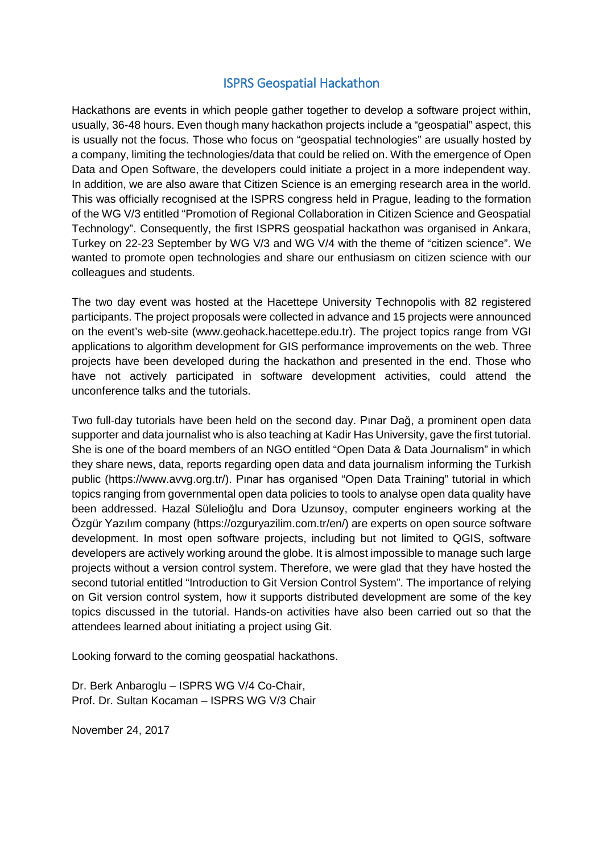## ISPRS Geospatial Hackathon

Hackathons are events in which people gather together to develop a software project within, usually, 36-48 hours. Even though many hackathon projects include a "geospatial" aspect, this is usually not the focus. Those who focus on "geospatial technologies" are usually hosted by a company, limiting the technologies/data that could be relied on. With the emergence of Open Data and Open Software, the developers could initiate a project in a more independent way. In addition, we are also aware that Citizen Science is an emerging research area in the world. This was officially recognised at the ISPRS congress held in Prague, leading to the formation of the WG V/3 entitled "Promotion of Regional Collaboration in Citizen Science and Geospatial Technology". Consequently, the first ISPRS geospatial hackathon was organised in Ankara, Turkey on 22-23 September by WG V/3 and WG V/4 with the theme of "citizen science". We wanted to promote open technologies and share our enthusiasm on citizen science with our colleagues and students.

The two day event was hosted at the Hacettepe University Technopolis with 82 registered participants. The project proposals were collected in advance and 15 projects were announced on the event's web-site (www.geohack.hacettepe.edu.tr). The project topics range from VGI applications to algorithm development for GIS performance improvements on the web. Three projects have been developed during the hackathon and presented in the end. Those who have not actively participated in software development activities, could attend the unconference talks and the tutorials.

Two full-day tutorials have been held on the second day. Pınar Dağ, a prominent open data supporter and data journalist who is also teaching at Kadir Has University, gave the first tutorial. She is one of the board members of an NGO entitled "Open Data & Data Journalism" in which they share news, data, reports regarding open data and data journalism informing the Turkish public (https://www.avvg.org.tr/). Pınar has organised "Open Data Training" tutorial in which topics ranging from governmental open data policies to tools to analyse open data quality have been addressed. Hazal Sülelioğlu and Dora Uzunsoy, computer engineers working at the Özgür Yazılım company (https://ozguryazilim.com.tr/en/) are experts on open source software development. In most open software projects, including but not limited to QGIS, software developers are actively working around the globe. It is almost impossible to manage such large projects without a version control system. Therefore, we were glad that they have hosted the second tutorial entitled "Introduction to Git Version Control System". The importance of relying on Git version control system, how it supports distributed development are some of the key topics discussed in the tutorial. Hands-on activities have also been carried out so that the attendees learned about initiating a project using Git.

Looking forward to the coming geospatial hackathons.

Dr. Berk Anbaroglu – ISPRS WG V/4 Co-Chair, Prof. Dr. Sultan Kocaman – ISPRS WG V/3 Chair

November 24, 2017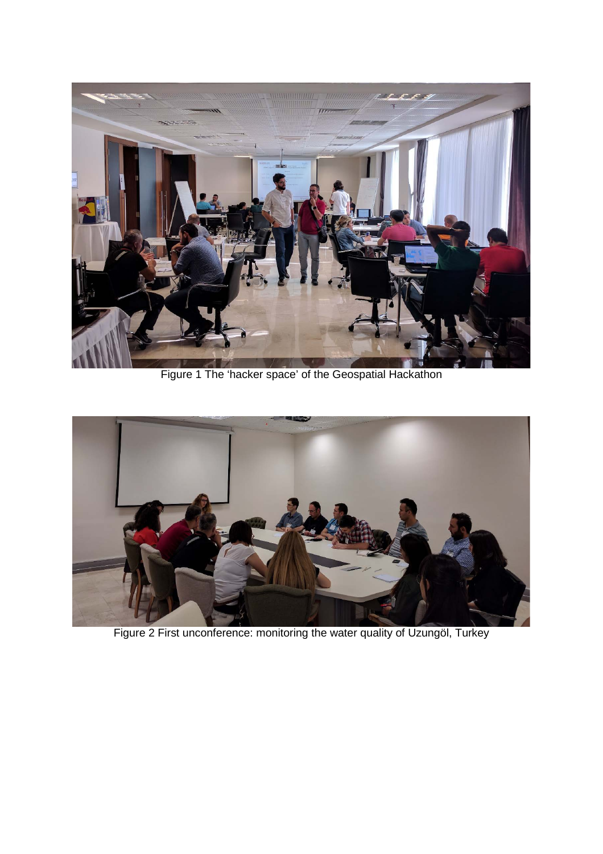

Figure 1 The 'hacker space' of the Geospatial Hackathon



Figure 2 First unconference: monitoring the water quality of Uzungöl, Turkey